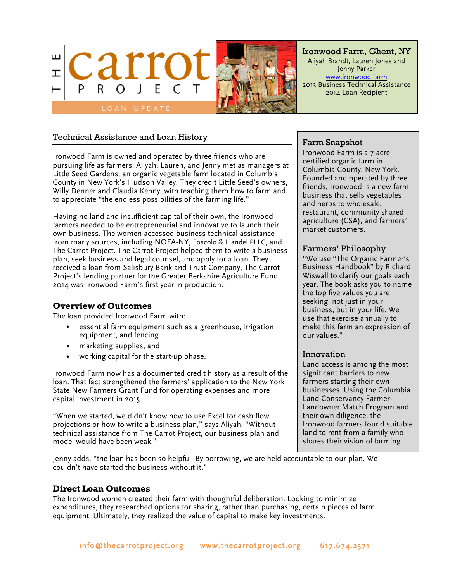



Ironwood Farm, Ghent, NY Aliyah Brandt, Lauren Jones and Jenny Parker www.ironwood.farm 2013 Business Technical Assistance 2014 Loan Recipient

# Technical Assistance and Loan History

Ironwood Farm is owned and operated by three friends who are pursuing life as farmers. Aliyah, Lauren, and Jenny met as managers at Little Seed Gardens, an organic vegetable farm located in Columbia County in New York's Hudson Valley. They credit Little Seed's owners, Willy Denner and Claudia Kenny, with teaching them how to farm and to appreciate "the endless possibilities of the farming life."

Having no land and insufficient capital of their own, the Ironwood farmers needed to be entrepreneurial and innovative to launch their own business. The women accessed business technical assistance from many sources, including NOFA-NY, Foscolo & Handel PLLC, and The Carrot Project. The Carrot Project helped them to write a business plan, seek business and legal counsel, and apply for a loan. They received a loan from Salisbury Bank and Trust Company, The Carrot Project's lending partner for the Greater Berkshire Agriculture Fund. 2014 was Ironwood Farm's first year in production.

#### **Overview of Outcomes**

The loan provided Ironwood Farm with:

- essential farm equipment such as a greenhouse, irrigation equipment, and fencing
- marketing supplies, and
- working capital for the start-up phase.

Ironwood Farm now has a documented credit history as a result of the loan. That fact strengthened the farmers' application to the New York State New Farmers Grant Fund for operating expenses and more capital investment in 2015.

"When we started, we didn't know how to use Excel for cash flow projections or how to write a business plan," says Aliyah. "Without technical assistance from The Carrot Project, our business plan and model would have been weak."

Jenny adds, "the loan has been so helpful. By borrowing, we are held accountable to our plan. We couldn't have started the business without it."

# **Direct Loan Outcomes**

The Ironwood women created their farm with thoughtful deliberation. Looking to minimize expenditures, they researched options for sharing, rather than purchasing, certain pieces of farm equipment. Ultimately, they realized the value of capital to make key investments.

### Farm Snapshot

Ironwood Farm is a 7-acre certified organic farm in Columbia County, New York. Founded and operated by three friends, Ironwood is a new farm business that sells vegetables and herbs to wholesale, restaurant, community shared agriculture (CSA), and farmers' market customers.

# Farmers' Philosophy

"We use "The Organic Farmer's Business Handbook" by Richard Wiswall to clarify our goals each year. The book asks you to name the top five values you are seeking, not just in your business, but in your life. We use that exercise annually to make this farm an expression of our values."

#### Innovation

Land access is among the most significant barriers to new farmers starting their own businesses. Using the Columbia Land Conservancy Farmer-Landowner Match Program and their own diligence, the Ironwood farmers found suitable land to rent from a family who shares their vision of farming.